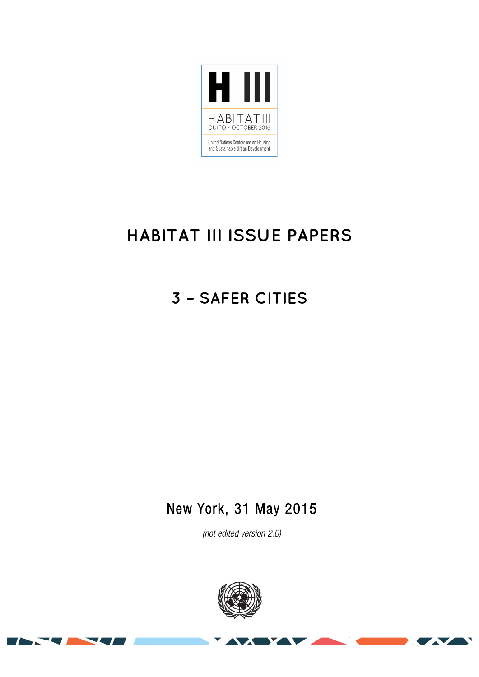

# **HABITAT III ISSUE PAPERS**

## **3 – SAFER CITIES**

## New York, 31 May 2015

*(not edited version* 2.0*)* 



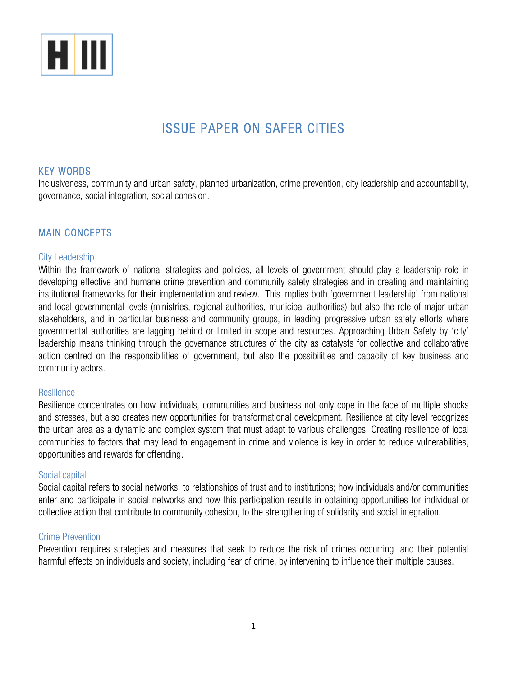

## ISSUE PAPER ON SAFER CITIES

## KEY WORDS

inclusiveness, community and urban safety, planned urbanization, crime prevention, city leadership and accountability, governance, social integration, social cohesion.

## MAIN CONCEPTS

#### City Leadership

Within the framework of national strategies and policies, all levels of government should play a leadership role in developing effective and humane crime prevention and community safety strategies and in creating and maintaining institutional frameworks for their implementation and review. This implies both 'government leadership' from national and local governmental levels (ministries, regional authorities, municipal authorities) but also the role of major urban stakeholders, and in particular business and community groups, in leading progressive urban safety efforts where governmental authorities are lagging behind or limited in scope and resources. Approaching Urban Safety by 'city' leadership means thinking through the governance structures of the city as catalysts for collective and collaborative action centred on the responsibilities of government, but also the possibilities and capacity of key business and community actors.

#### **Resilience**

Resilience concentrates on how individuals, communities and business not only cope in the face of multiple shocks and stresses, but also creates new opportunities for transformational development. Resilience at city level recognizes the urban area as a dynamic and complex system that must adapt to various challenges. Creating resilience of local communities to factors that may lead to engagement in crime and violence is key in order to reduce vulnerabilities, opportunities and rewards for offending.

#### Social capital

Social capital refers to social networks, to relationships of trust and to institutions; how individuals and/or communities enter and participate in social networks and how this participation results in obtaining opportunities for individual or collective action that contribute to community cohesion, to the strengthening of solidarity and social integration.

#### Crime Prevention

Prevention requires strategies and measures that seek to reduce the risk of crimes occurring, and their potential harmful effects on individuals and society, including fear of crime, by intervening to influence their multiple causes.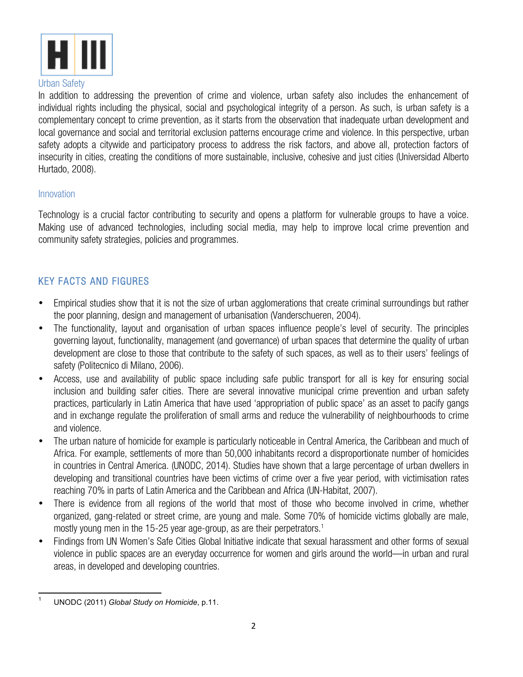

#### Urban Safety

In addition to addressing the prevention of crime and violence, urban safety also includes the enhancement of individual rights including the physical, social and psychological integrity of a person. As such, is urban safety is a complementary concept to crime prevention, as it starts from the observation that inadequate urban development and local governance and social and territorial exclusion patterns encourage crime and violence. In this perspective, urban safety adopts a citywide and participatory process to address the risk factors, and above all, protection factors of insecurity in cities, creating the conditions of more sustainable, inclusive, cohesive and just cities (Universidad Alberto Hurtado, 2008).

### Innovation

Technology is a crucial factor contributing to security and opens a platform for vulnerable groups to have a voice. Making use of advanced technologies, including social media, may help to improve local crime prevention and community safety strategies, policies and programmes.

## KEY FACTS AND FIGURES

- Empirical studies show that it is not the size of urban agglomerations that create criminal surroundings but rather the poor planning, design and management of urbanisation (Vanderschueren, 2004).
- The functionality, layout and organisation of urban spaces influence people's level of security. The principles governing layout, functionality, management (and governance) of urban spaces that determine the quality of urban development are close to those that contribute to the safety of such spaces, as well as to their users' feelings of safety (Politecnico di Milano, 2006).
- Access, use and availability of public space including safe public transport for all is key for ensuring social inclusion and building safer cities. There are several innovative municipal crime prevention and urban safety practices, particularly in Latin America that have used 'appropriation of public space' as an asset to pacify gangs and in exchange regulate the proliferation of small arms and reduce the vulnerability of neighbourhoods to crime and violence.
- The urban nature of homicide for example is particularly noticeable in Central America, the Caribbean and much of Africa. For example, settlements of more than 50,000 inhabitants record a disproportionate number of homicides in countries in Central America. (UNODC, 2014). Studies have shown that a large percentage of urban dwellers in developing and transitional countries have been victims of crime over a five year period, with victimisation rates reaching 70% in parts of Latin America and the Caribbean and Africa (UN-Habitat, 2007).
- There is evidence from all regions of the world that most of those who become involved in crime, whether organized, gang-related or street crime, are young and male. Some 70% of homicide victims globally are male, mostly young men in the 15-25 year age-group, as are their perpetrators.<sup>1</sup>
- Findings from UN Women's Safe Cities Global Initiative indicate that sexual harassment and other forms of sexual violence in public spaces are an everyday occurrence for women and girls around the world—in urban and rural areas, in developed and developing countries.

 <sup>1</sup> UNODC (2011) *Global Study on Homicide*, p.11.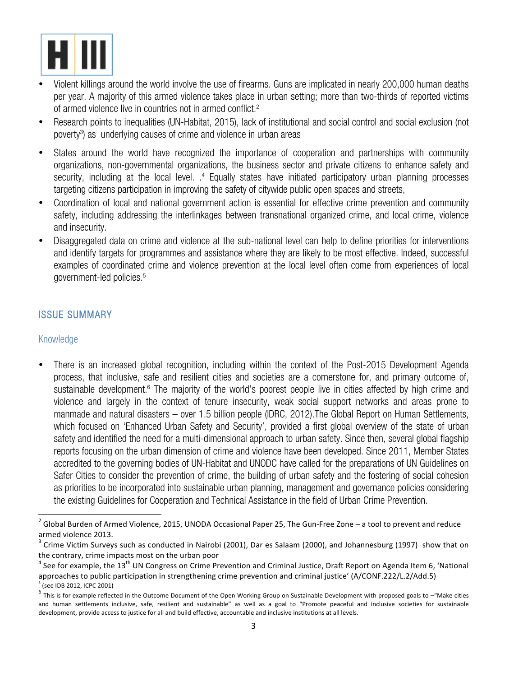

- Violent killings around the world involve the use of firearms. Guns are implicated in nearly 200,000 human deaths per year. A majority of this armed violence takes place in urban setting; more than two-thirds of reported victims of armed violence live in countries not in armed conflict.<sup>2</sup>
- Research points to inequalities (UN-Habitat, 2015), lack of institutional and social control and social exclusion (not poverty<sup>3</sup>) as underlying causes of crime and violence in urban areas
- States around the world have recognized the importance of cooperation and partnerships with community organizations, non-governmental organizations, the business sector and private citizens to enhance safety and security, including at the local level. .<sup>4</sup> Equally states have initiated participatory urban planning processes targeting citizens participation in improving the safety of citywide public open spaces and streets,
- Coordination of local and national government action is essential for effective crime prevention and community safety, including addressing the interlinkages between transnational organized crime, and local crime, violence and insecurity.
- Disaggregated data on crime and violence at the sub-national level can help to define priorities for interventions and identify targets for programmes and assistance where they are likely to be most effective. Indeed, successful examples of coordinated crime and violence prevention at the local level often come from experiences of local government-led policies.5

## ISSUE SUMMARY

 

## Knowledge

• There is an increased global recognition, including within the context of the Post-2015 Development Agenda process, that inclusive, safe and resilient cities and societies are a cornerstone for, and primary outcome of, sustainable development. <sup>6</sup> The majority of the world's poorest people live in cities affected by high crime and violence and largely in the context of tenure insecurity, weak social support networks and areas prone to manmade and natural disasters – over 1.5 billion people (IDRC, 2012).The Global Report on Human Settlements, which focused on 'Enhanced Urban Safety and Security', provided a first global overview of the state of urban safety and identified the need for a multi-dimensional approach to urban safety. Since then, several global flagship reports focusing on the urban dimension of crime and violence have been developed. Since 2011, Member States accredited to the governing bodies of UN-Habitat and UNODC have called for the preparations of UN Guidelines on Safer Cities to consider the prevention of crime, the building of urban safety and the fostering of social cohesion as priorities to be incorporated into sustainable urban planning, management and governance policies considering the existing Guidelines for Cooperation and Technical Assistance in the field of Urban Crime Prevention.

 $2$  Global Burden of Armed Violence, 2015, UNODA Occasional Paper 25, The Gun-Free Zone – a tool to prevent and reduce armed violence 2013.

 $3$  Crime Victim Surveys such as conducted in Nairobi (2001), Dar es Salaam (2000), and Johannesburg (1997) show that on the contrary, crime impacts most on the urban poor

 $4$  See for example, the 13<sup>th</sup> UN Congress on Crime Prevention and Criminal Justice, Draft Report on Agenda Item 6, 'National approaches to public participation in strengthening crime prevention and criminal justice' (A/CONF.222/L.2/Add.5) (see IDB 2012, ICPC 2001)

<sup>6</sup> This is for example reflected in the Outcome Document of the Open Working Group on Sustainable Development with proposed goals to –"Make cities" of the Customer Capital Controllers of the Outcomer December of the Outcom and human settlements inclusive, safe, resilient and sustainable" as well as a goal to "Promote peaceful and inclusive societies for sustainable development, provide access to justice for all and build effective, accountable and inclusive institutions at all levels.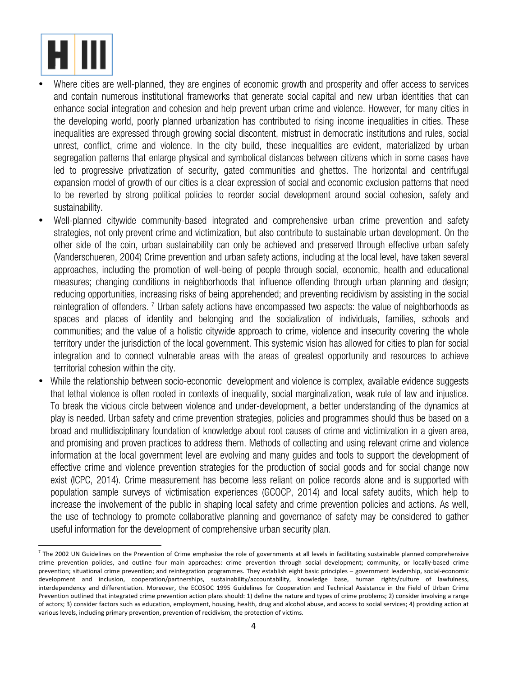

<u> 1989 - Johann Stein, fransk politik (d. 1989)</u>

- Where cities are well-planned, they are engines of economic growth and prosperity and offer access to services and contain numerous institutional frameworks that generate social capital and new urban identities that can enhance social integration and cohesion and help prevent urban crime and violence. However, for many cities in the developing world, poorly planned urbanization has contributed to rising income inequalities in cities. These inequalities are expressed through growing social discontent, mistrust in democratic institutions and rules, social unrest, conflict, crime and violence. In the city build, these inequalities are evident, materialized by urban segregation patterns that enlarge physical and symbolical distances between citizens which in some cases have led to progressive privatization of security, gated communities and ghettos. The horizontal and centrifugal expansion model of growth of our cities is a clear expression of social and economic exclusion patterns that need to be reverted by strong political policies to reorder social development around social cohesion, safety and sustainability.
- Well-planned citywide community-based integrated and comprehensive urban crime prevention and safety strategies, not only prevent crime and victimization, but also contribute to sustainable urban development. On the other side of the coin, urban sustainability can only be achieved and preserved through effective urban safety (Vanderschueren, 2004) Crime prevention and urban safety actions, including at the local level, have taken several approaches, including the promotion of well-being of people through social, economic, health and educational measures; changing conditions in neighborhoods that influence offending through urban planning and design; reducing opportunities, increasing risks of being apprehended; and preventing recidivism by assisting in the social reintegration of offenders. <sup>7</sup> Urban safety actions have encompassed two aspects: the value of neighborhoods as spaces and places of identity and belonging and the socialization of individuals, families, schools and communities; and the value of a holistic citywide approach to crime, violence and insecurity covering the whole territory under the jurisdiction of the local government. This systemic vision has allowed for cities to plan for social integration and to connect vulnerable areas with the areas of greatest opportunity and resources to achieve territorial cohesion within the city.
- While the relationship between socio-economic development and violence is complex, available evidence suggests that lethal violence is often rooted in contexts of inequality, social marginalization, weak rule of law and injustice. To break the vicious circle between violence and under-development, a better understanding of the dynamics at play is needed. Urban safety and crime prevention strategies, policies and programmes should thus be based on a broad and multidisciplinary foundation of knowledge about root causes of crime and victimization in a given area, and promising and proven practices to address them. Methods of collecting and using relevant crime and violence information at the local government level are evolving and many guides and tools to support the development of effective crime and violence prevention strategies for the production of social goods and for social change now exist (ICPC, 2014). Crime measurement has become less reliant on police records alone and is supported with population sample surveys of victimisation experiences (GCOCP, 2014) and local safety audits, which help to increase the involvement of the public in shaping local safety and crime prevention policies and actions. As well, the use of technology to promote collaborative planning and governance of safety may be considered to gather useful information for the development of comprehensive urban security plan.

 $^7$  The 2002 UN Guidelines on the Prevention of Crime emphasise the role of governments at all levels in facilitating sustainable planned comprehensive crime prevention policies, and outline four main approaches: crime prevention through social development; community, or locally-based crime prevention; situational crime prevention; and reintegration programmes. They establish eight basic principles - government leadership, social-economic development and inclusion, cooperation/partnerships, sustainability/accountability, knowledge base, human rights/culture of lawfulness, interdependency and differentiation. Moreover, the ECOSOC 1995 Guidelines for Cooperation and Technical Assistance in the Field of Urban Crime Prevention outlined that integrated crime prevention action plans should: 1) define the nature and types of crime problems; 2) consider involving a range of actors; 3) consider factors such as education, employment, housing, health, drug and alcohol abuse, and access to social services; 4) providing action at various levels, including primary prevention, prevention of recidivism, the protection of victims.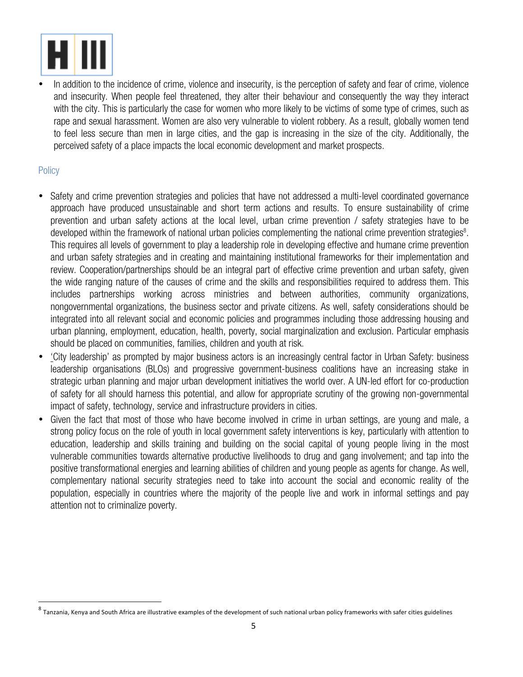

<u> 1989 - Johann Stein, fransk politik (d. 1989)</u>

In addition to the incidence of crime, violence and insecurity, is the perception of safety and fear of crime, violence and insecurity. When people feel threatened, they alter their behaviour and consequently the way they interact with the city. This is particularly the case for women who more likely to be victims of some type of crimes, such as rape and sexual harassment. Women are also very vulnerable to violent robbery. As a result, globally women tend to feel less secure than men in large cities, and the gap is increasing in the size of the city. Additionally, the perceived safety of a place impacts the local economic development and market prospects.

## **Policy**

- Safety and crime prevention strategies and policies that have not addressed a multi-level coordinated governance approach have produced unsustainable and short term actions and results. To ensure sustainability of crime prevention and urban safety actions at the local level, urban crime prevention / safety strategies have to be developed within the framework of national urban policies complementing the national crime prevention strategies<sup>8</sup>. This requires all levels of government to play a leadership role in developing effective and humane crime prevention and urban safety strategies and in creating and maintaining institutional frameworks for their implementation and review. Cooperation/partnerships should be an integral part of effective crime prevention and urban safety, given the wide ranging nature of the causes of crime and the skills and responsibilities required to address them. This includes partnerships working across ministries and between authorities, community organizations, nongovernmental organizations, the business sector and private citizens. As well, safety considerations should be integrated into all relevant social and economic policies and programmes including those addressing housing and urban planning, employment, education, health, poverty, social marginalization and exclusion. Particular emphasis should be placed on communities, families, children and youth at risk.
- 'City leadership' as prompted by major business actors is an increasingly central factor in Urban Safety: business leadership organisations (BLOs) and progressive government-business coalitions have an increasing stake in strategic urban planning and major urban development initiatives the world over. A UN-led effort for co-production of safety for all should harness this potential, and allow for appropriate scrutiny of the growing non-governmental impact of safety, technology, service and infrastructure providers in cities.
- Given the fact that most of those who have become involved in crime in urban settings, are young and male, a strong policy focus on the role of youth in local government safety interventions is key, particularly with attention to education, leadership and skills training and building on the social capital of young people living in the most vulnerable communities towards alternative productive livelihoods to drug and gang involvement; and tap into the positive transformational energies and learning abilities of children and young people as agents for change. As well, complementary national security strategies need to take into account the social and economic reality of the population, especially in countries where the majority of the people live and work in informal settings and pay attention not to criminalize poverty.

Tanzania, Kenya and South Africa are illustrative examples of the development of such national urban policy frameworks with safer cities guidelines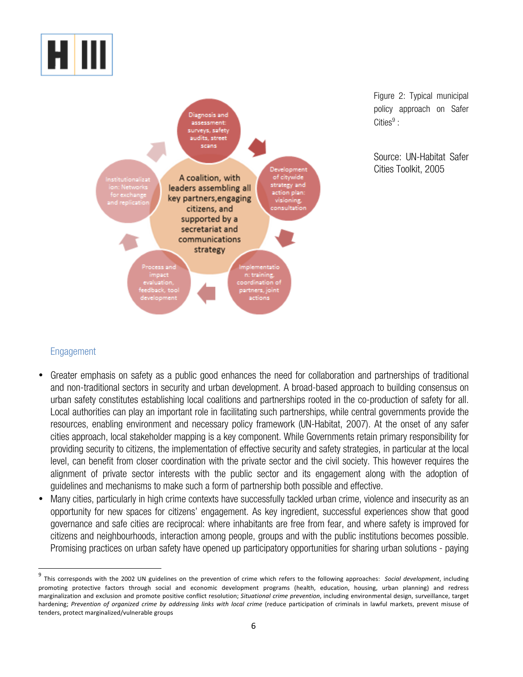



Figure 2: Typical municipal policy approach on Safer Cities $9$ :

Source: UN-Habitat Safer Cities Toolkit, 2005

## Engagement

 

- Greater emphasis on safety as a public good enhances the need for collaboration and partnerships of traditional and non-traditional sectors in security and urban development. A broad-based approach to building consensus on urban safety constitutes establishing local coalitions and partnerships rooted in the co-production of safety for all. Local authorities can play an important role in facilitating such partnerships, while central governments provide the resources, enabling environment and necessary policy framework (UN-Habitat, 2007). At the onset of any safer cities approach, local stakeholder mapping is a key component. While Governments retain primary responsibility for providing security to citizens, the implementation of effective security and safety strategies, in particular at the local level, can benefit from closer coordination with the private sector and the civil society. This however requires the alignment of private sector interests with the public sector and its engagement along with the adoption of guidelines and mechanisms to make such a form of partnership both possible and effective.
- Many cities, particularly in high crime contexts have successfully tackled urban crime, violence and insecurity as an opportunity for new spaces for citizens' engagement. As key ingredient, successful experiences show that good governance and safe cities are reciprocal: where inhabitants are free from fear, and where safety is improved for citizens and neighbourhoods, interaction among people, groups and with the public institutions becomes possible. Promising practices on urban safety have opened up participatory opportunities for sharing urban solutions - paying

<sup>&</sup>lt;sup>9</sup> This corresponds with the 2002 UN guidelines on the prevention of crime which refers to the following approaches: Social development, including promoting protective factors through social and economic development programs (health, education, housing, urban planning) and redress marginalization and exclusion and promote positive conflict resolution; *Situational crime prevention*, including environmental design, surveillance, target hardening; Prevention of organized crime by addressing links with local crime (reduce participation of criminals in lawful markets, prevent misuse of tenders, protect marginalized/vulnerable groups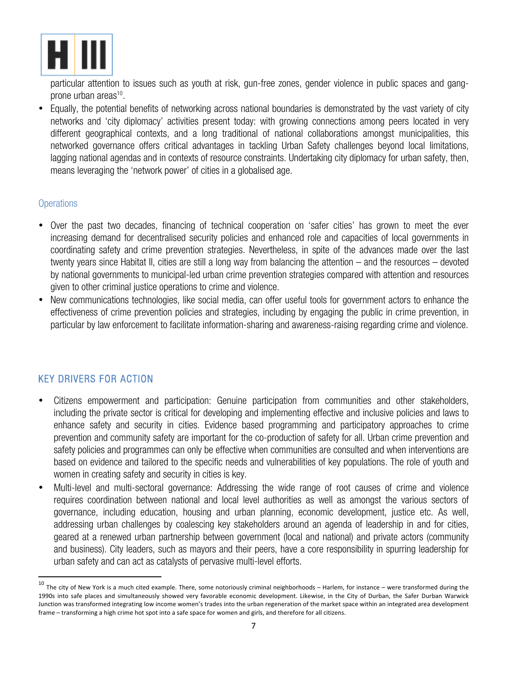

particular attention to issues such as youth at risk, gun-free zones, gender violence in public spaces and gangprone urban areas<sup>10</sup>.

• Equally, the potential benefits of networking across national boundaries is demonstrated by the vast variety of city networks and 'city diplomacy' activities present today: with growing connections among peers located in very different geographical contexts, and a long traditional of national collaborations amongst municipalities, this networked governance offers critical advantages in tackling Urban Safety challenges beyond local limitations, lagging national agendas and in contexts of resource constraints. Undertaking city diplomacy for urban safety, then, means leveraging the 'network power' of cities in a globalised age.

#### **Operations**

- Over the past two decades, financing of technical cooperation on 'safer cities' has grown to meet the ever increasing demand for decentralised security policies and enhanced role and capacities of local governments in coordinating safety and crime prevention strategies. Nevertheless, in spite of the advances made over the last twenty years since Habitat II, cities are still a long way from balancing the attention – and the resources – devoted by national governments to municipal-led urban crime prevention strategies compared with attention and resources given to other criminal justice operations to crime and violence.
- New communications technologies, like social media, can offer useful tools for government actors to enhance the effectiveness of crime prevention policies and strategies, including by engaging the public in crime prevention, in particular by law enforcement to facilitate information-sharing and awareness-raising regarding crime and violence.

## KEY DRIVERS FOR ACTION

<u> 1989 - Johann Stein, fransk politik (d. 1989)</u>

- Citizens empowerment and participation: Genuine participation from communities and other stakeholders, including the private sector is critical for developing and implementing effective and inclusive policies and laws to enhance safety and security in cities. Evidence based programming and participatory approaches to crime prevention and community safety are important for the co-production of safety for all. Urban crime prevention and safety policies and programmes can only be effective when communities are consulted and when interventions are based on evidence and tailored to the specific needs and vulnerabilities of key populations. The role of youth and women in creating safety and security in cities is key.
- Multi-level and multi-sectoral governance: Addressing the wide range of root causes of crime and violence requires coordination between national and local level authorities as well as amongst the various sectors of governance, including education, housing and urban planning, economic development, justice etc. As well, addressing urban challenges by coalescing key stakeholders around an agenda of leadership in and for cities, geared at a renewed urban partnership between government (local and national) and private actors (community and business). City leaders, such as mayors and their peers, have a core responsibility in spurring leadership for urban safety and can act as catalysts of pervasive multi-level efforts.

 $^{10}$  The city of New York is a much cited example. There, some notoriously criminal neighborhoods – Harlem, for instance – were transformed during the 1990s into safe places and simultaneously showed very favorable economic development. Likewise, in the City of Durban, the Safer Durban Warwick Junction was transformed integrating low income women's trades into the urban regeneration of the market space within an integrated area development frame – transforming a high crime hot spot into a safe space for women and girls, and therefore for all citizens.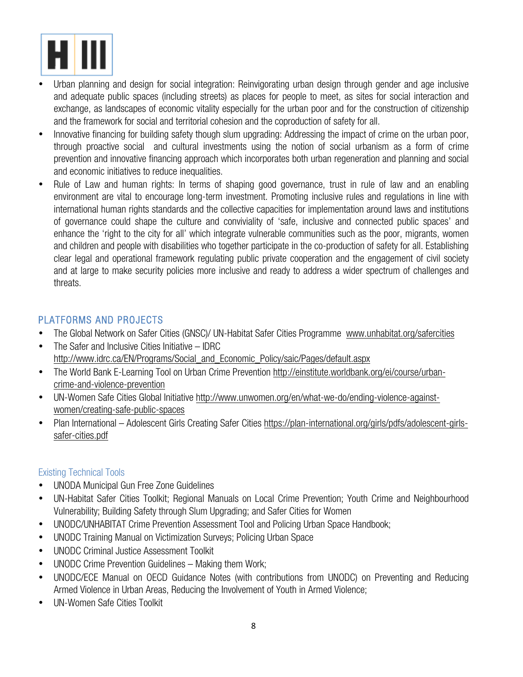

- Urban planning and design for social integration: Reinvigorating urban design through gender and age inclusive and adequate public spaces (including streets) as places for people to meet, as sites for social interaction and exchange, as landscapes of economic vitality especially for the urban poor and for the construction of citizenship and the framework for social and territorial cohesion and the coproduction of safety for all.
- Innovative financing for building safety though slum upgrading: Addressing the impact of crime on the urban poor, through proactive social and cultural investments using the notion of social urbanism as a form of crime prevention and innovative financing approach which incorporates both urban regeneration and planning and social and economic initiatives to reduce inequalities.
- Rule of Law and human rights: In terms of shaping good governance, trust in rule of law and an enabling environment are vital to encourage long-term investment. Promoting inclusive rules and regulations in line with international human rights standards and the collective capacities for implementation around laws and institutions of governance could shape the culture and conviviality of 'safe, inclusive and connected public spaces' and enhance the 'right to the city for all' which integrate vulnerable communities such as the poor, migrants, women and children and people with disabilities who together participate in the co-production of safety for all. Establishing clear legal and operational framework regulating public private cooperation and the engagement of civil society and at large to make security policies more inclusive and ready to address a wider spectrum of challenges and threats.

## PLATFORMS AND PROJECTS

- The Global Network on Safer Cities (GNSC)/ UN-Habitat Safer Cities Programme www.unhabitat.org/safercities
- The Safer and Inclusive Cities Initiative IDRC http://www.idrc.ca/EN/Programs/Social\_and\_Economic\_Policy/saic/Pages/default.aspx
- The World Bank E-Learning Tool on Urban Crime Prevention http://einstitute.worldbank.org/ei/course/urbancrime-and-violence-prevention
- UN-Women Safe Cities Global Initiative http://www.unwomen.org/en/what-we-do/ending-violence-againstwomen/creating-safe-public-spaces
- Plan International Adolescent Girls Creating Safer Cities https://plan-international.org/girls/pdfs/adolescent-girlssafer-cities.pdf

## Existing Technical Tools

- UNODA Municipal Gun Free Zone Guidelines
- UN-Habitat Safer Cities Toolkit; Regional Manuals on Local Crime Prevention; Youth Crime and Neighbourhood Vulnerability; Building Safety through Slum Upgrading; and Safer Cities for Women
- UNODC/UNHABITAT Crime Prevention Assessment Tool and Policing Urban Space Handbook;
- UNODC Training Manual on Victimization Surveys; Policing Urban Space
- UNODC Criminal Justice Assessment Toolkit
- UNODC Crime Prevention Guidelines Making them Work;
- UNODC/ECE Manual on OECD Guidance Notes (with contributions from UNODC) on Preventing and Reducing Armed Violence in Urban Areas, Reducing the Involvement of Youth in Armed Violence;
- UN-Women Safe Cities Toolkit